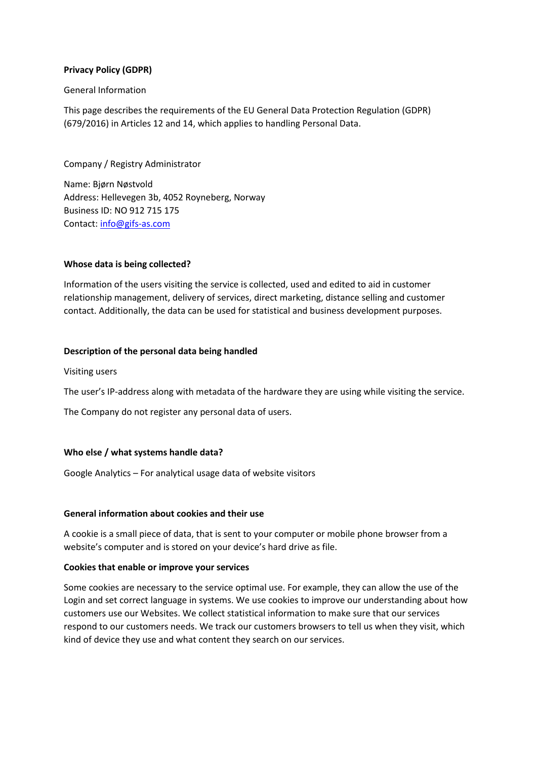# **Privacy Policy (GDPR)**

### General Information

This page describes the requirements of the EU General Data Protection Regulation (GDPR) (679/2016) in Articles 12 and 14, which applies to handling Personal Data.

Company / Registry Administrator

Name: Bjørn Nøstvold Address: Hellevegen 3b, 4052 Royneberg, Norway Business ID: NO 912 715 175 Contact: [info@gifs-as.com](mailto:info@gifs-as.com)

# **Whose data is being collected?**

Information of the users visiting the service is collected, used and edited to aid in customer relationship management, delivery of services, direct marketing, distance selling and customer contact. Additionally, the data can be used for statistical and business development purposes.

# **Description of the personal data being handled**

Visiting users

The user's IP-address along with metadata of the hardware they are using while visiting the service.

The Company do not register any personal data of users.

# **Who else / what systems handle data?**

Google Analytics – For analytical usage data of website visitors

#### **General information about cookies and their use**

A cookie is a small piece of data, that is sent to your computer or mobile phone browser from a website's computer and is stored on your device's hard drive as file.

# **Cookies that enable or improve your services**

Some cookies are necessary to the service optimal use. For example, they can allow the use of the Login and set correct language in systems. We use cookies to improve our understanding about how customers use our Websites. We collect statistical information to make sure that our services respond to our customers needs. We track our customers browsers to tell us when they visit, which kind of device they use and what content they search on our services.